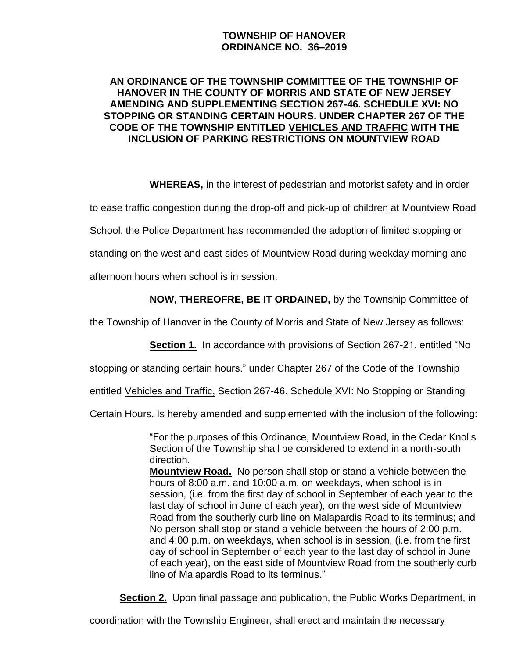## **TOWNSHIP OF HANOVER ORDINANCE NO. 36–2019**

#### **AN ORDINANCE OF THE TOWNSHIP COMMITTEE OF THE TOWNSHIP OF HANOVER IN THE COUNTY OF MORRIS AND STATE OF NEW JERSEY AMENDING AND SUPPLEMENTING SECTION 267-46. SCHEDULE XVI: NO STOPPING OR STANDING CERTAIN HOURS. UNDER CHAPTER 267 OF THE CODE OF THE TOWNSHIP ENTITLED VEHICLES AND TRAFFIC WITH THE INCLUSION OF PARKING RESTRICTIONS ON MOUNTVIEW ROAD**

**WHEREAS,** in the interest of pedestrian and motorist safety and in order

to ease traffic congestion during the drop-off and pick-up of children at Mountview Road

School, the Police Department has recommended the adoption of limited stopping or

standing on the west and east sides of Mountview Road during weekday morning and

afternoon hours when school is in session.

## **NOW, THEREOFRE, BE IT ORDAINED,** by the Township Committee of

the Township of Hanover in the County of Morris and State of New Jersey as follows:

**Section 1.** In accordance with provisions of Section 267-21. entitled "No

stopping or standing certain hours." under Chapter 267 of the Code of the Township

entitled Vehicles and Traffic, Section 267-46. Schedule XVI: No Stopping or Standing

Certain Hours. Is hereby amended and supplemented with the inclusion of the following:

"For the purposes of this Ordinance, Mountview Road, in the Cedar Knolls Section of the Township shall be considered to extend in a north-south direction.

**Mountview Road.** No person shall stop or stand a vehicle between the hours of 8:00 a.m. and 10:00 a.m. on weekdays, when school is in session, (i.e. from the first day of school in September of each year to the last day of school in June of each year), on the west side of Mountview Road from the southerly curb line on Malapardis Road to its terminus; and No person shall stop or stand a vehicle between the hours of 2:00 p.m. and 4:00 p.m. on weekdays, when school is in session, (i.e. from the first day of school in September of each year to the last day of school in June of each year), on the east side of Mountview Road from the southerly curb line of Malapardis Road to its terminus."

**Section 2.** Upon final passage and publication, the Public Works Department, in

coordination with the Township Engineer, shall erect and maintain the necessary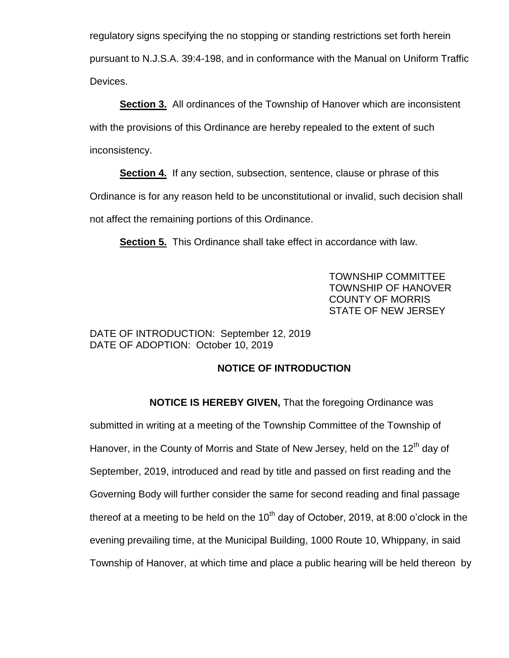regulatory signs specifying the no stopping or standing restrictions set forth herein pursuant to N.J.S.A. 39:4-198, and in conformance with the Manual on Uniform Traffic Devices.

**Section 3.** All ordinances of the Township of Hanover which are inconsistent with the provisions of this Ordinance are hereby repealed to the extent of such inconsistency.

**Section 4.** If any section, subsection, sentence, clause or phrase of this Ordinance is for any reason held to be unconstitutional or invalid, such decision shall not affect the remaining portions of this Ordinance.

**Section 5.** This Ordinance shall take effect in accordance with law.

TOWNSHIP COMMITTEE TOWNSHIP OF HANOVER COUNTY OF MORRIS STATE OF NEW JERSEY

#### DATE OF INTRODUCTION: September 12, 2019 DATE OF ADOPTION: October 10, 2019

# **NOTICE OF INTRODUCTION**

**NOTICE IS HEREBY GIVEN,** That the foregoing Ordinance was submitted in writing at a meeting of the Township Committee of the Township of Hanover, in the County of Morris and State of New Jersey, held on the  $12<sup>th</sup>$  day of September, 2019, introduced and read by title and passed on first reading and the Governing Body will further consider the same for second reading and final passage thereof at a meeting to be held on the  $10<sup>th</sup>$  day of October, 2019, at 8:00 o'clock in the evening prevailing time, at the Municipal Building, 1000 Route 10, Whippany, in said Township of Hanover, at which time and place a public hearing will be held thereon by